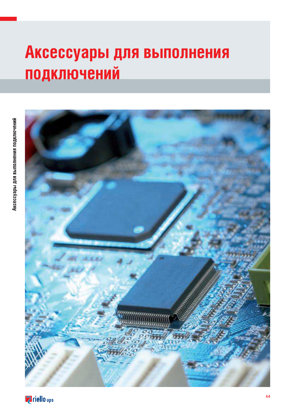# Аксессуары для выполнения подключений



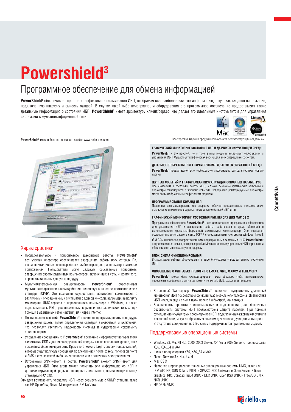# Powershield<sup>3</sup>

### Программное обеспечение для обмена информацией.

PowerShield<sup>3</sup> обеспечивает простое и эффективное пользование ИБП, отображая всю наиболее важную информацию, такую как входное напряжение. подключенную нагрузку и емкость батарей. В случае какой-либо неисправности оборудования это программное обеспечение предоставляет также детальную информацию о состоянии ИБП. PowerShield<sup>3</sup> имеет архитектуру клиент/сервер, что делает его идеальным инструментом для управления системами в мультиплатформенной сети.



PowerShield<sup>3</sup> можно бесплатно скачать с сайта www.riello-ups.com



#### Характеристики

- Последовательное и приоритетное завершение работы: PowerShield<sup>3</sup> без участия оператора обеспечивает завершение работы всех сетевых ПК, сохранение активных сеансов работы в наиболее распространенных программных приложениях. Пользователи могут задавать собственные приоритеты завершения работы различных компьютеров, включенных в сеть, и, кроме того, персонализировать данную процедуру.
- Мультиплатформенная совместимость: PowerShield<sup>3</sup> обеспечивает мультиплатформенное взаимодействие, используя в качестве протокола связи стандарт TCP/IP. Это позволяет осуществлять мониторинг компьютеров с различными операционными системами с единой консоли, например, выполнять мониторинг UNIX-сервера с персонального компьютера с Windows, а также подключаться к ИБП, расположенным в разных географических точках, при помощи выделенных сетей (intranet) или через Internet.
- Планирование событий: PowerShield<sup>3</sup> позволяет программировать процедуры завершения работы путем определения сценария выключения и включения, что позволяет увеличить надежность системы и существенно сэкономить электроэнергию
- Управление сообщениями: PowerShield<sup>3</sup> постоянно информирует пользователя о состоянии ИБП и датчиков окружающей среды - как на локальном уровне, так и посылая сообщения через сеть. Кроме того, можно залать список пользователей. которые будут получать сообщения по электронной почте, факсу, голосовой почте и SMS в случае какой-либо неисправности или отключения электропитания.
- Встроенный SNMP-агент: в состав **PowerShield**<sup>3</sup> входит SNMP-агент для управления ИБП. Этот агент может посылать всю информацию об ИБП и датчиках окружающей среды и генерировать системное прерывание при помощи станларта RFC1628
- Это дает возможность управлять ИБП через совместимые с SNMP станции, такие как HP OpenView. Novell Managewise и IBM NetView.

Все торговые марки и пролукты приналлежат соответствующим владельцам

#### ГРАФИЧЕСКИЙ МОНИТОРИНГ СОСТОЯНИЯ ИБП И ДАТЧИКОВ ОКРУЖАЮЩЕЙ СРЕДЫ

PowerShield<sup>3</sup> - это простой, но в тоже время мощный инструмент отображения и управления ИБП. Существует графическая версия для всех операционных систем

#### ДЕТАЛЬНОЕ ОТОБРАЖЕНИЕ ВСЕХ ПАРАМЕТРОВ ИБП И ДАТЧИКОВ ОКРУЖАЮЩЕЙ СРЕДЫ

PowerShield<sup>3</sup> предоставляет всю необходимую информацию для диагностики первого VDOBHA

#### ЖУРНАЛ СОБЫТИЙ И ГРАФИЧЕСКАЯ ВИЗУАЛИЗАЦИЯ ОСНОВНЫХ ПАРАМЕТРОВ

Все изменения в состоянии работы ИБП, а также основные физические величины и параметры фиксируются в журнале событий. Непрерывно регистрируемые параметры могут быть отображены в графическом формате.

#### ПРОГРАММИРОВАНИЕ КОМАНД ИБП

Позволяет автоматизировать все операции, обычно производимые пользователем: выключение и включение сервера, тестирование батарей ИБП и т.п.

#### ГРАФИЧЕСКИЙ МОНИТОРИНГ СОСТОЯНИЯ ИБП, ВЕРСИЯ ДЛЯ МАС OS X

Программное обеспечение **PowerShield**<sup>3</sup> - это единственное программное обеспечение для управления ИБП и завершения работы, работающее в среде Macintosh с использованием кросс-платформенной архитектуры клиент/сервер. Оно позволяет осуществлять интеграцию в сетях TCP/IP с операционными системами Windows, Novell, IBM 0S/2 и наиболее распространенными операционными системами UNIX. PowerShield<sup>3</sup> поддерживает сетевые адаптеры серии NetMan в отношении управления ИБП через сеть и обеспечивает многоязычную поддержку.

#### БЛОК-СХЕМА ФУНКЦИОНИРОВАНИЯ

Визуализация работы оборудования в виде блок-схемы упрощает анализ состояния **IARD** 

#### ОПОВЕЩЕНИЕ О СИГНАЛАХ ТРЕВОГИ ПО E-MAIL, SMS, ФАКСУ И ТЕЛЕФОНУ

PowerShield<sup>3</sup> может быть сконфигурирован таким образом, чтобы автоматически пересылать сообщения о сигналах тревоги по e-mail, SMS, факсу или телефону.

- Встроенный Wap-сервер: PowerShield<sup>3</sup> позволяет осуществлять удаленный мониторинг ИБП посредством функции Wap мобильного телефона. Диагностика ИБП никогда еще не была такой простой и быстрой, как сегодня.
- Безопасность, простота в использовании и подключении: для обеспечения безопасности системы ИБП предусмотрена защита паролем. При помощи функции «поиск/быстрый просмотр» все ИБП, подключенные к компьютеру и/или локальной сети, могут отображаться списком для их последующего мониторинга. В отсутствие соединения по ЛВС связь поддерживается при помощи модема.

#### Поддерживаемые операционные системы

- Windows 98, Me, NT 4.0, 2000, 2003 Server, XP, Vista 2008 Server с процессорами Х86, Х86\_64 и ІА64
- Linux с процессорами X86, X86 64 и IA64
- Novell Netware 3.x, 4.x, 5.x, 6  $\bullet$
- Mac OS X
- Наиболее широко распространенные операционные системы UNIX, такие как: IBM AIX, HP, SUN Solaris INTEL и SPARC, SCO Unixware и Open Server, Silicon Graphics IRIX, Compag Tru64 UNIX и DEC UNIX, Open BSD UNIX и FreeBSD UNIX, NCR HNIX
- HP OPEN VMS

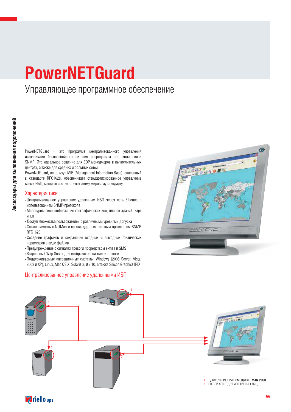### **PowerNETGuard** Управляющее программное обеспечение

PowerNETGuard - это программа централизованного управления источниками бесперебойного питания посредством протокола связи SNMP. Это идеальное решение для EDP-менеджеров в вычислительных центрах, а также для средних и больших сетей.

PowerNetGuard, используя MIB (Management Information Base), описанный в стандарте RFC1628, обеспечивает стандартизированное управление всеми ИБП, которые соответствуют этому мировому стандарту.

#### Характеристики

- •Централизованное управление удаленным ИБП через сеть Ethernet с использованием SNMP-протокола
- •Многоуровневое отображение географических зон, планов зданий, карт итп
- Доступ множества пользователей с различными уровнями допуска
- Совместимость с NetMan и со стандартным сетевым протоколом SNMP RFC1628
- •Создание графиков и сохранение входных и выходных физических параметров в виде файлов
- Предупреждение о сигналах тревоги посредством e-mail и SMS
- «Встроенный Wap Server для отображения сигналов тревоги
- •Поддерживаемые операционные системы: Windows (2008 Server, Vista, 2003 и XP), Linux, Mac OS X, Solaris 8, 9 и 10, а также Silicon Graphics IRIX.

#### Централизованное управление удаленными ИБП





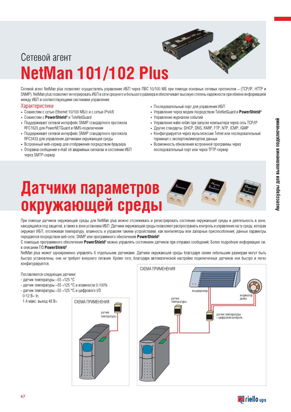# NEUWAN TUT/TUZ PIUS Сетевой агент

Сетевой агент NetMan plus позволяет осуществлять управление ИБП через ЛВС 10/100 МБ при помощи основных сетевых протоколов - (TCP/IP, HTTP и SNMP). NetMan plus позволяет интегрировать ИБП в сети среднего и большого размера и обеспечивает высокую степень надежности при обмене информацией между ИБП и соответствующими системами управления.<br>Характеристики

- Совместим с сетью Ethernet 10/100 МБ/с и с сетью IPv4/6
- Совместим с PowerShield<sup>3</sup> и TeleNetGuard
- Поддерживает сетевой интерфейс SNMP стандартного протокола  $RFC1628$  для PowerNETGuard и NMS-подключения<br>• Поддерживает сетевой интерфейс SNMP стандартного протокола
- RFC3433 для управления датчиками окружающей среды «Характеристики» - Последовательный порт для управления ИБП» - Совместим с сетью Ethernet 10/100 МБ/с и с сетью IPv4/6 - Управление через модем посредством TeleNetGuard<br>
• Совместим с **PowerShield**<sup>3</sup> и TeleNetGuard - Упр
- Встроенный web-сервер для отображения посредством браузера
- Отправка сообщений e-mail об аварийных сигналах и состоянии ИБП через SMTP-сервер
- Последовательный порт для управления ИБП
- Управление через модем посредством TeleNetGuard и PowerShield<sup>3</sup>
- Управление журналом событий
- Управление wake onlan при запуске компьютера через сеть TCP/IP
- Другие стандарты: DHCP, DNS, RARP, FTP, NTP, ICMP, IGMP
- Конфигурируется через мультисессии Telnet или последовательный терминал с экспортом/импортом данных
- Возможность обновления встроенной программы через<br>последовательный порт или через TFTP-сервер

# Датчики параметров<br>окружающей среды

При помощи датчиков окружающей среды для NetMan plus можно отслеживать и регистрировать состояние окружающей среды и деятельность в зоне, находящейся под защитой, а также в зоне установки ИБП. Датчики окружающей среды позволяют распространить контроль и управление на ту среду, которая окружает ИБП, отслеживая температуру, влажность и управляя такими устройствами, как вентиляторы или запорные приспособления; данные параметры передаются посредством веб-сети. SNMP или программного обеспечения **PowerShield**<sup>3</sup>.

С помощью программного обеспечения PowerShield<sup>3</sup> можно управлять состоянием датчиков при отправке сообщений. Более подробную информацию см. в описании ПО **PowerShield**<sup>3</sup>.

NetMan plus может одновременно управлять 6 отдельными датчиками. Датчики окружающей среды благодаря своим небольшим размерам могут быть быстро установлены; они не требуют внешнего питания. Кроме того, благодаря автоматической настройке подключенных датчиков они быстро и легко конфигурируются

Cereson areht<br>
NetMan 101/102 Plus<br>
Matyuku параметров<br>
окружающей среды<br>
Матуики параметров<br>
Марки среды Поставляются следующие датчики: - датчик температуры  $-55$  +125 °С - датчик температуры  $-55$  +125 °С и влажности 0-100% - датчик температуры - 55 + 125 °С и цифрового I/О 0-12 B= In,<br>1 А макс. выход 48 В= NetMan 101/102 Plus<br>
Experimental Construction<br>
COVID-102 Plus<br>
COVID-102 Plus<br>
COVID-102 Plus<br>
COVID-102 Plus<br>
COVID-102 Plus<br>
COVID-102 Plus<br>
COVID-102 Plus<br>
COVID-102 Plus<br>
COVID-102 Plus<br>
COVID-102 Plus<br>
COVID-102 Plus СХЕМА ПРИМЕНЕНИЯ СХЕМА ПРИМЕНЕНИЯ датчик  $\overline{\phantom{a}}$ температуры и кондиционер<br>Датчик датчик демпературы датчик дыма демонстрой дыма демонстрой демонстрой демонстрой и составил на составили<br>Настине составились на составились на составились на составились на составились на составились н

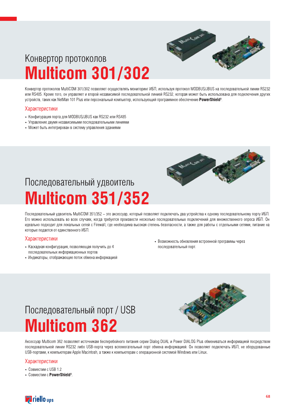

### Конвертор протоколов **Multicom 301/302**

Конвертор протоколов MultiCOM 301/302 позволяет осуществлять мониторинг ИБП, используя протокол MODBUS/JBUS на последовательной линии RS232 или RS485. Кроме того, он управляет и второй независимой последовательной линией RS232, которая может быть использована для подключения других устройств, таких как NetMan 101 Plus или персональный компьютер, использующий программное обеспечение PowerShield<sup>3</sup>.

### Характеристики

- Конфигурация порта для MODBUS/JBUS как RS232 или RS485
- Управление двумя независимыми последовательными линиями
- Может быть интегрирован в систему управления зданиями



### Последовательный удвоитель **Multicom 351/352**

Последовательный удвоитель MultiCOM 351/352 - это аксессуар, который позволяет подключать два устройства к одному последовательному порту ИБП. Его можно использовать во всех случаях, когда требуется произвести несколько последовательных подключений для множественного опроса ИБП. Он идеально подходит для локальных сетей с Firewall, где необходима высокая степень безопасности, а также для работы с отдельными сетями, питание на которые подается от единственного ИБП.

### Характеристики

- Каскадная конфигурация, позволяющая получить до 4 последовательных информационных портов
- Индикаторы, отображающие поток обмена информацией
- Возможность обновления встроенной программы через последовательный порт.

### Последовательный порт / USB **Multicom 362**



Aксессуар Multicom 362 позволяет источникам бесперебойного питания серии Dialog DUAL и Power DIALOG Plus обмениваться информацией посредством последовательной линии RS232 либо USB-порта через вспомогательный порт обмена информацией. Он позволяет подключать ИБП, не оборудованные USB-портами, к компьютерам Apple Macintosh, а также к компьютерам с операционной системой Windows или Linux.

- Совместим с USB 1.2
- Совместим с PowerShield<sup>3</sup>

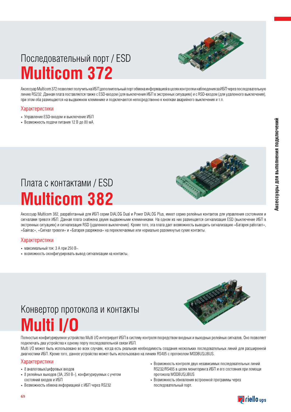

### Последовательный порт / ESD **Multicom 372**

Аксессуар Multicom 372 позволяет получить на ИБП дополнительный порт обмена информацией в целях контроля и наблюдения за ИБП через последовательную линию RS232. Данная плата поставляется также с ESD-входом (для выключения ИБП в экстренных ситуациях) и с RSD-входом (для удаленного выключения), при этом оба размещаются на выдвижном клеммнике и подключаются непосредственно к кнопкам аварийного выключения и т.п.

### Характеристики

- Управление ESD-входом и выключение ИБП
- Возможность подачи питания 12 В до 80 мА.



### Плата с контактами / ESD **Multicom 382**

Aксессуар Multicom 382, разработанный для ИБП серии DIALOG Dual и Power DIALOG Plus, имеет серию релейных контактов для управления состоянием и сигналами тревоги ИБП. Данная плата снабжена двумя выдвижными клеммниками. На одном из них размещается сигнализация ESD (выключение ИБП в экстренных ситуациях) и сигнализация RSD (удаленное выключение). Кроме того, эта плата дает возможность выводить сигнализацию «Батарея работает», «Байпас», «Сигнал тревоги» и «Батарея разряжена» на переключаемые или нормально разомкнутые сухие контакты.

### Характеристики

- максимальный ток: 3 А при 250 В $\sim$
- возможность сконфигурировать вывод сигнализации на контакты.

### Конвертор протокола и контакты **Multi I/O**



Полностью конфигурируемое устройство Multi I/O интегрирует ИБП в систему контроля посредством входных и выходных релейных сигналов. Оно позволяет подключать два устройства к одному порту последовательной связи ИБП.

Multi I/О может быть использовано во всех случаях, когда есть реальная необходимость создания нескольких последовательных линий для расширенной диагностики ИБП. Кроме того, данное устройство может быть использовано на линиях RS485 с протоколом MODBUS/JBUS.

- 8 аналоговых/цифровых входов
- 8 релейных выходов (ЗА, 250 В~), конфигурируемых с учетом состояний входов и ИБП
- Возможность обмена информацией с ИБП через RS232
- Возможность контроля двух независимых последовательных линий RS232/RS485 в целях мониторинга ИБП и его состояния при помощи протокола MODBUS/JBUS
- Возможность обновления встроенной программы через последовательный порт.

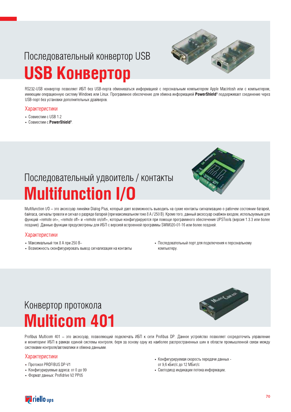### Последовательный конвертор USB **USB Конвертор**

RS232-USB конвертор позволяет ИБП без USB-порта обмениваться информацией с персональным компьютером Apple Macintosh или с компьютером. имеющим операционную систему Windows или Linux. Программное обеспечение для обмена информацией PowerShield<sup>3</sup> поддерживает соединение через USB-порт без установки дополнительных драйверов.

### Характеристики

- Совместим с USB 1.2
- Совместим с PowerShield<sup>3</sup>



Multifunction I/O - это аксессуар линейки Dialog Plus, который дает возможность выводить на сухие контакты сигнализацию о рабочем состоянии батарей, байпаса, сигналы тревоги и сигнал о разряде батарей (при максимальном токе 8 А / 250 В). Кроме того, данный аксессуар снабжен входом, используемым для функций «remote on», «remote off» и «remote on/off», которые конфигурируются при помощи программного обеспечения UPSTools (версия 1.3.3 или более поздние). Данные функции предусмотрены для ИБП с версией встроенной программы SWM020-01-16 или более поздней.

### Характеристики

- Максимальный ток 8 А при 250 В $\sim$
- Возможность сконфигурировать вывод сигнализации на контакты
- Последовательный порт для подключения к персональному компьютеру.

### Конвертор протокола **Multicom 401**



Profibus Multicom 401 - это аксессуар, позволяющий подключать ИБП к сети Profibus DP. Данное устройство позволяет сосредоточить управление и мониторинг ИБП в рамках единой системы контроля, беря за основу одну из наиболее распространенных шин в области промышленной связи между системами контроля/автоматики и обмена данными.

- Протокол PROFIBUS DP-V1
- Конфигурируемые адреса: от 0 до 99
- Формат данных: Profidrive V2 PP05
- Конфигурируемая скорость передачи данных от 9,6 кБит/с до 12 МБит/с
- Светодиод индикации потока информации

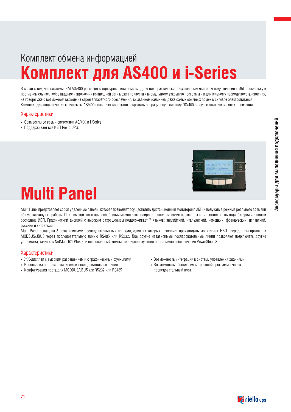### Комплект обмена информацией Комплект для AS400 и i-Series

В связи с тем, что системы IBM AS/400 работают с одноуровневой памятью, для них практически обязательным является подключение к ИБП, поскольку в противном случае любое падение напряжения во внешней сети может привести к аномальному закрытию программ и к длительному периоду восстановления, не говоря уже о возможном выходе из строя аппаратного обеспечения, вызванном наличием даже самых обычных помех в сигнале электропитания. Комплект для подключения к системам AS/400 позволяет корректно закрывать операционную систему OS/400 в случае отключения электропитания.

#### Характеристики

- Совместим со всеми системами AS/400 и i-Series
- Поддерживает все ИБП Riello UPS.



# **Multi Panel**

Multi Panel представляет собой удаленную панель, которая позволяет осуществлять дистанционный мониторинг ИБП и получать в режиме реального времени общую картину его работы. При помощи этого приспособления можно контролировать электрические параметры сети, состояние выхода, батареи и в целом состояние ИБП. Графический дисплей с высоким разрешением поддерживает 7 языков: английский, итальянский, немецкий, французский, испанский, русский и китайский.

Multi Panel оснащена 3 независимыми последовательными портами, один их которых позволяет производить мониторинг ИБП посредством протокола MODBUS/JBUS через последовательную линию RS485 или RS232. Две другие независимые последовательные линии позволяют подключать другие устройства, такие как NetMan 101 Plus или персональный компьютер, использующий программное обеспечение PowerShield3.

- ЖК-дисплей с высоким разрешением и с графическими функциями
- Использование трех независимых последовательных линий
- Конфигурация порта для MODBUS/JBUS как RS232 или RS485
- Возможность интеграции в систему управления зданиями
- Возможность обновления встроенной программы через последовательный порт.

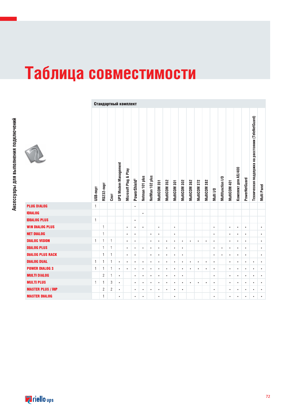# Таблица совместимости

|                          |              |                | Стандартный комплект |                             |                       |                          |                 |                 |              |              |              |              |              |              |              |           |                   |              |                     |               |                                                    |             |
|--------------------------|--------------|----------------|----------------------|-----------------------------|-----------------------|--------------------------|-----------------|-----------------|--------------|--------------|--------------|--------------|--------------|--------------|--------------|-----------|-------------------|--------------|---------------------|---------------|----------------------------------------------------|-------------|
|                          | USB-nopT     | RS232-nopT     | $C$ лот              | <b>UPS Modem Management</b> | Microsoft Plug & Play | PowerShield <sup>3</sup> | Netman 101 plus | NetMan 102 plus | MultiCOM 351 | MultiCOM 352 | MultiCOM 301 | MultiCOM 302 | MultiCOM 362 | MultiCOM 372 | MultiCOM 382 | Multi I/O | Multifunction I/O | MultiCOM 401 | Комплект для AS/400 | PowerNetGuard | Техническая поддержка на расстоянии (TeleNetGuard) | Multi Panel |
| <b>PLUG DIALOG</b>       | $\mathbf{1}$ |                |                      |                             |                       | $\bullet$                |                 |                 |              |              |              |              |              |              |              |           |                   |              |                     |               |                                                    |             |
| <b>IDIALOG</b>           |              |                |                      |                             |                       |                          | $\bullet$       |                 |              |              |              |              |              |              |              |           |                   |              |                     |               |                                                    |             |
| <b>IDIALOG PLUS</b>      | $\mathbf{1}$ |                |                      |                             |                       | $\bullet$                |                 |                 |              |              |              |              |              |              |              |           |                   |              |                     |               |                                                    |             |
| <b>WIN DIALOG PLUS</b>   |              | $\mathbf{1}$   |                      |                             | $\bullet$             | $\bullet$                | $\bullet$       |                 | $\bullet$    |              | $\bullet$    |              |              |              |              | $\bullet$ |                   | $\bullet$    | $\bullet$           | $\bullet$     |                                                    | $\bullet$   |
| <b>NET DIALOG</b>        |              | $\mathbf{1}$   |                      |                             | $\bullet$             | $\bullet$                |                 | $\bullet$       | $\bullet$    |              | $\bullet$    |              |              |              |              | $\bullet$ |                   | $\bullet$    | $\bullet$           | ٠             |                                                    | $\bullet$   |
| <b>DIALOG VISION</b>     | 1            | 1              | $\mathbf{1}$         |                             | $\bullet$             | $\bullet$                |                 | $\bullet$       | $\bullet$    | $\bullet$    | ٠            | $\bullet$    | ٠            | $\bullet$    | $\bullet$    | $\bullet$ |                   | $\bullet$    | $\bullet$           | $\bullet$     |                                                    | $\bullet$   |
| <b>DIALOG PLUS</b>       |              | $\mathbf{1}$   | 1                    |                             | $\bullet$             | $\bullet$                | ٠               | $\bullet$       | ٠            | $\bullet$    | ٠            | $\bullet$    |              |              |              | $\bullet$ | $\bullet$         | $\bullet$    | $\bullet$           | $\bullet$     |                                                    | ٠           |
| <b>DIALOG PLUS RACK</b>  |              | $\mathbf{1}$   | 1                    |                             | $\bullet$             | $\bullet$                |                 | $\bullet$       | $\bullet$    | $\bullet$    | ٠            | $\bullet$    |              |              |              | $\bullet$ | $\bullet$         | $\bullet$    | $\bullet$           | $\bullet$     |                                                    | $\bullet$   |
| <b>DIALOG DUAL</b>       | 1            | $\mathbf{1}$   | $\mathbf{1}$         | $\bullet$                   | $\bullet$             | $\bullet$                | $\bullet$       | $\bullet$       | $\bullet$    | $\bullet$    | $\bullet$    | $\bullet$    | $\bullet$    | $\bullet$    | $\bullet$    | $\bullet$ |                   | $\bullet$    | $\bullet$           | $\bullet$     | $\bullet$                                          | $\bullet$   |
| <b>POWER DIALOG 3</b>    | $\mathbf{1}$ | $\mathbf{1}$   | 1                    | $\bullet$                   | $\bullet$             | $\bullet$                | ٠               | ٠               | ٠            | $\bullet$    | $\bullet$    | $\bullet$    | ٠            | $\bullet$    | ٠            | $\bullet$ |                   | $\bullet$    | ٠                   | ٠             | $\bullet$                                          | ٠           |
| <b>MULTI DIALOG</b>      |              | $\mathbf{2}$   | $\mathbf{1}$         | $\bullet$                   |                       | $\bullet$                | ٠               | ٠               | ٠            | $\bullet$    | ٠            | $\bullet$    |              |              |              | $\bullet$ |                   | $\bullet$    | $\bullet$           | ٠             | ٠                                                  | $\bullet$   |
| <b>MULTI PLUS</b>        | $\mathbf{1}$ | $\mathbf{1}$   | 3                    | $\bullet$                   |                       | $\bullet$                | $\bullet$       | $\bullet$       | ٠            | $\bullet$    | $\bullet$    | $\bullet$    | $\bullet$    | $\bullet$    | $\bullet$    | $\bullet$ |                   | $\bullet$    | $\bullet$           | ٠             | $\bullet$                                          | ٠           |
| <b>MASTER PLUS / HIP</b> |              | $\overline{c}$ | $\overline{c}$       | $\bullet$                   |                       | ٠                        | ٠               | ٠               | ٠            | ٠            | ٠            | ٠            |              |              |              | $\bullet$ |                   | $\bullet$    | ٠                   | ٠             | ٠                                                  | $\bullet$   |
| <b>MASTER DIALOG</b>     |              | $\overline{1}$ |                      | ٠                           |                       | $\bullet$                | ٠               |                 |              |              | ٠            |              |              |              |              | ٠         |                   | ٠            |                     |               |                                                    | ٠           |